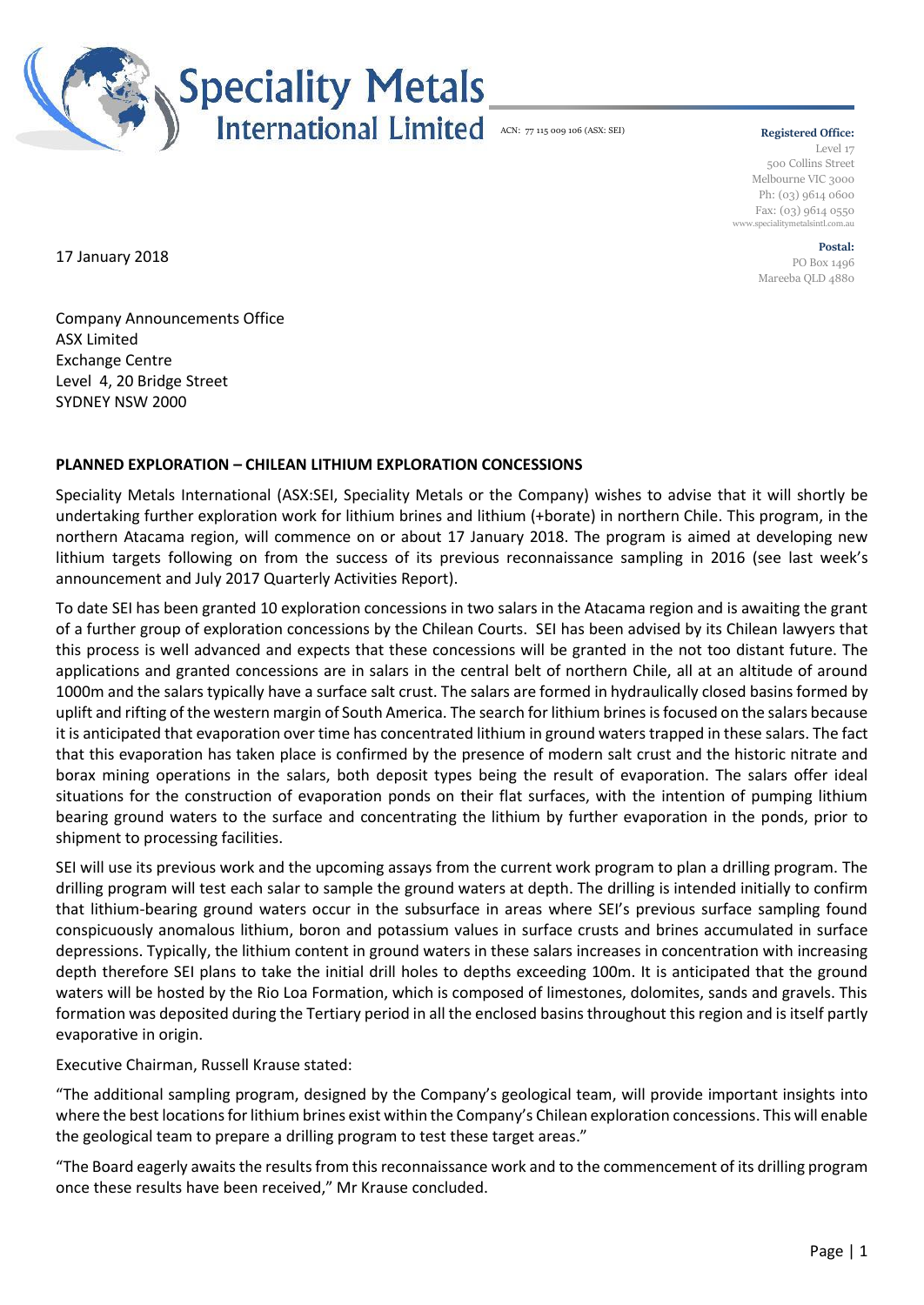

## **Registered Office:**

Level 17 500 Collins Street Melbourne VIC 3000 Ph: (03) 9614 0600 Fax: (03) 9614 0550 www.specialitymetalsintl.com.au

> **Postal:** PO Box 1496 Mareeba QLD 4880

17 January 2018

Company Announcements Office ASX Limited Exchange Centre Level 4, 20 Bridge Street SYDNEY NSW 2000

## **PLANNED EXPLORATION – CHILEAN LITHIUM EXPLORATION CONCESSIONS**

Speciality Metals International (ASX:SEI, Speciality Metals or the Company) wishes to advise that it will shortly be undertaking further exploration work for lithium brines and lithium (+borate) in northern Chile. This program, in the northern Atacama region, will commence on or about 17 January 2018. The program is aimed at developing new lithium targets following on from the success of its previous reconnaissance sampling in 2016 (see last week's announcement and July 2017 Quarterly Activities Report).

To date SEI has been granted 10 exploration concessions in two salars in the Atacama region and is awaiting the grant of a further group of exploration concessions by the Chilean Courts. SEI has been advised by its Chilean lawyers that this process is well advanced and expects that these concessions will be granted in the not too distant future. The applications and granted concessions are in salars in the central belt of northern Chile, all at an altitude of around 1000m and the salars typically have a surface salt crust. The salars are formed in hydraulically closed basins formed by uplift and rifting of the western margin of South America. The search for lithium brines is focused on the salars because it is anticipated that evaporation over time has concentrated lithium in ground waters trapped in these salars. The fact that this evaporation has taken place is confirmed by the presence of modern salt crust and the historic nitrate and borax mining operations in the salars, both deposit types being the result of evaporation. The salars offer ideal situations for the construction of evaporation ponds on their flat surfaces, with the intention of pumping lithium bearing ground waters to the surface and concentrating the lithium by further evaporation in the ponds, prior to shipment to processing facilities.

SEI will use its previous work and the upcoming assays from the current work program to plan a drilling program. The drilling program will test each salar to sample the ground waters at depth. The drilling is intended initially to confirm that lithium-bearing ground waters occur in the subsurface in areas where SEI's previous surface sampling found conspicuously anomalous lithium, boron and potassium values in surface crusts and brines accumulated in surface depressions. Typically, the lithium content in ground waters in these salars increases in concentration with increasing depth therefore SEI plans to take the initial drill holes to depths exceeding 100m. It is anticipated that the ground waters will be hosted by the Rio Loa Formation, which is composed of limestones, dolomites, sands and gravels. This formation was deposited during the Tertiary period in all the enclosed basins throughout this region and is itself partly evaporative in origin.

Executive Chairman, Russell Krause stated:

"The additional sampling program, designed by the Company's geological team, will provide important insights into where the best locations for lithium brines exist within the Company's Chilean exploration concessions. This will enable the geological team to prepare a drilling program to test these target areas."

"The Board eagerly awaits the results from this reconnaissance work and to the commencement of its drilling program once these results have been received," Mr Krause concluded.